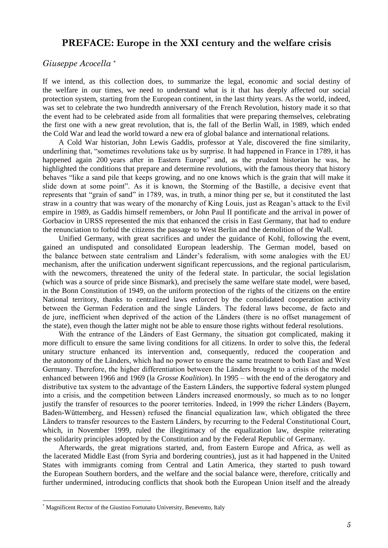## **PREFACE: Europe in the XXI century and the welfare crisis**

## *Giuseppe Acocella \**

If we intend, as this collection does, to summarize the legal, economic and social destiny of the welfare in our times, we need to understand what is it that has deeply affected our social protection system, starting from the European continent, in the last thirty years. As the world, indeed, was set to celebrate the two hundredth anniversary of the French Revolution, history made it so that the event had to be celebrated aside from all formalities that were preparing themselves, celebrating the first one with a new great revolution, that is, the fall of the Berlin Wall, in 1989, which ended the Cold War and lead the world toward a new era of global balance and international relations.

A Cold War historian, John Lewis Gaddis, professor at Yale, discovered the fine similarity, underlining that, "sometimes revolutions take us by surprise. It had happened in France in 1789, it has happened again 200 years after in Eastern Europe" and, as the prudent historian he was, he highlighted the conditions that prepare and determine revolutions, with the famous theory that history behaves "like a sand pile that keeps growing, and no one knows which is the grain that will make it slide down at some point". As it is known, the Storming of the Bastille, a decisive event that represents that "grain of sand" in 1789, was, in truth, a minor thing per se, but it constituted the last straw in a country that was weary of the monarchy of King Louis, just as Reagan"s attack to the Evil empire in 1989, as Gaddis himself remembers, or John Paul II pontificate and the arrival in power of Gorbaciov in URSS represented the mix that enhanced the crisis in East Germany, that had to endure the renunciation to forbid the citizens the passage to West Berlin and the demolition of the Wall.

Unified Germany, with great sacrifices and under the guidance of Kohl, following the event, gained an undisputed and consolidated European leadership. The German model, based on the balance between state centralism and Länder"s federalism, with some analogies with the EU mechanism, after the unification underwent significant repercussions, and the regional particularism, with the newcomers, threatened the unity of the federal state. In particular, the social legislation (which was a source of pride since Bismark), and precisely the same welfare state model, were based, in the Bonn Constitution of 1949, on the uniform protection of the rights of the citizens on the entire National territory, thanks to centralized laws enforced by the consolidated cooperation activity between the German Federation and the single Länders. The federal laws become, de facto and de jure, inefficient when deprived of the action of the Länders (there is no offset management of the state), even though the latter might not be able to ensure those rights without federal resolutions.

With the entrance of the Länders of East Germany, the situation got complicated, making it more difficult to ensure the same living conditions for all citizens. In order to solve this, the federal unitary structure enhanced its intervention and, consequently, reduced the cooperation and the autonomy of the Länders, which had no power to ensure the same treatment to both East and West Germany. Therefore, the higher differentiation between the Länders brought to a crisis of the model enhanced between 1966 and 1969 (la *Grosse Koalition*). In 1995 – with the end of the derogatory and distributive tax system to the advantage of the Eastern Länders, the supportive federal system plunged into a crisis, and the competition between Länders increased enormously, so much as to no longer justify the transfer of resources to the poorer territories. Indeed, in 1999 the richer Länders (Bayern, Baden-Wüttemberg, and Hessen) refused the financial equalization law, which obligated the three Länders to transfer resources to the Eastern Länders, by recurring to the Federal Constitutional Court, which, in November 1999, ruled the illegitimacy of the equalization law, despite reiterating the solidarity principles adopted by the Constitution and by the Federal Republic of Germany.

Afterwards, the great migrations started, and, from Eastern Europe and Africa, as well as the lacerated Middle East (from Syria and bordering countries), just as it had happened in the United States with immigrants coming from Central and Latin America, they started to push toward the European Southern borders, and the welfare and the social balance were, therefore, critically and further undermined, introducing conflicts that shook both the European Union itself and the already

 $\overline{\phantom{a}}$ 

Magnificent Rector of the Giustino Fortunato University, Benevento, Italy